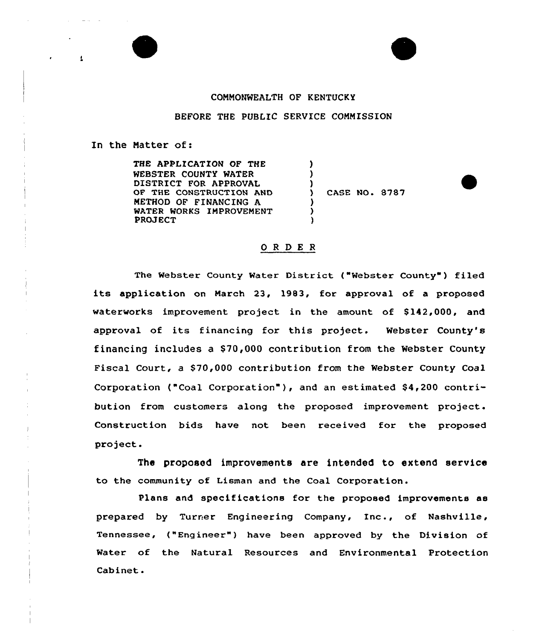



## CQNNONWEALTH OF KENTUCKY

## BEFORE THE PUBLIC SERVICE COMMISSION

) ) )

> ) ) )

## In the Natter of:

THE APPLICATION OF THE WEBSTER COUNTY WATER DISTRICT FOR APPROVAL OF THE CONSTRUCTION AND METHOD OF FINANCING A WATER WORKS IMPROVEMENT PROJECT

) CASE NO. 8787

## ORDER

The Webster County Water District ("Webster County") filed its application on March 23, 1983, for approval of <sup>a</sup> proposed waterworks improvement project in the amount of 8142,000, and approval of its financing for this project. Webster County's financing includes a \$70,000 contribution from the Webster County Fiscal Court, a \$70,000 contribution from the Webster County Coal Corporation ("Coal Corporation" ), and an estimated S4,200 contribution from customers along the proposed improvement project. Construction bids have not been received for the proposed project.

The proposed improvements are intended to extend service to the community of Lisman and the Coal Corporation.

Plans and specifications for the proposed improvements as prepared by Turrer Engineering Company, Inc., of Nashville, Tennessee, ("Engineer") have been approved by the Division of Water of the Natural Resources and Environmental Protection Cabinet.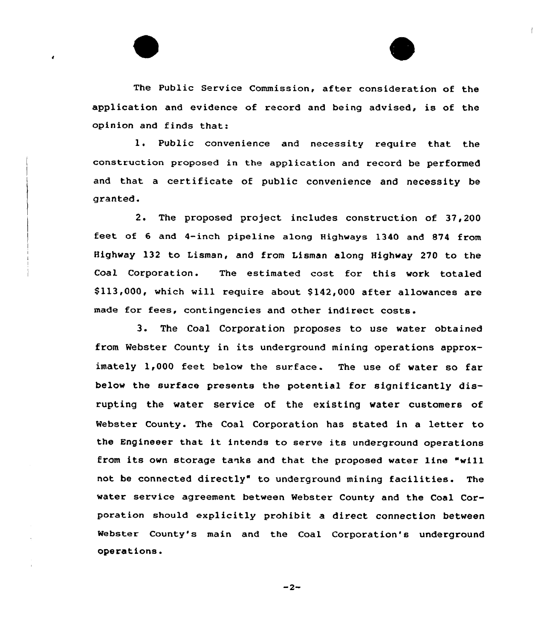

The Public Service Commission, after consideration of the application and evidence of record and being advised, is of the opinion and finds that:

1. Public convenience and necessity require that the construction proposed in the application and record be performed and that <sup>a</sup> certificate of public convenience and necessity be granted.

2. The proposed project includes construction of 37,200 feet. of 6 and 4-inch pipeline along Highways 1340 and 874 from Highway 132 to Lisman, and from Lisman along Highway 270 to the Coal Corporation. The estimated cost for this work totaled \$113,000, which will require about \$142,000 after allowances are made for fees, contingencies and other indirect costs.

3. The Coal Corporation proposes to use water obtained from Webster County in its underground mining operations approximately 1,000 feet below the surface. The use of water so far below the surface presents the potential for significantly disrupting the water service of the existing water customers of Webster County. The Coal Corporation has stated in a letter to the Engineeer that it intends to serve its underground operations from its own storage tanks and that the proposed water line "will not be connected directly" to underground mining facilities. The water service agreement between Webster County and the Coal Corporation should explicitly prohibit a direct connection between Webster County's main and the Coal Corporation's underground operations.

 $-2-$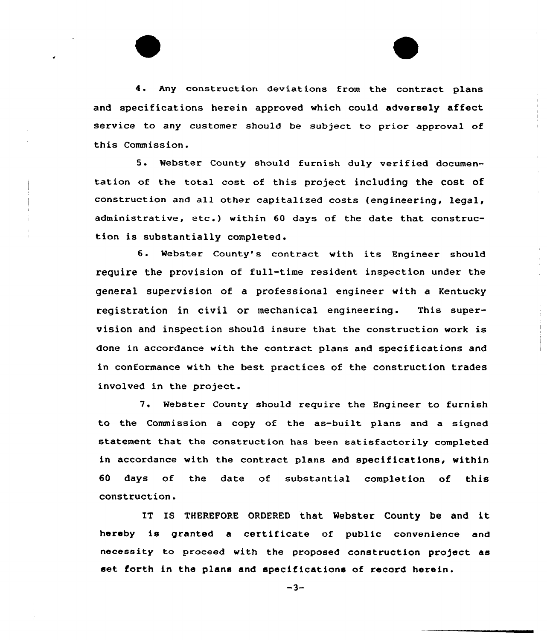4. Any construction deviations from the contract plans and specifications herein approved which could adversely affect service to any customer should be subject to prior approval of this Commission.

5. Webster County should furnish duly verified documentation of the total cost of this project including the cost of construction and all other capitalized costs (engineering, legal, administrative, etc.) within <sup>60</sup> days of the date that construction is substantially completed.

6. Webster County's contract with its Engineer should require the provision of full-time resident inspection under the general supervision of a professional engineer with a Kentucky registration in civil or mechanical engineering. This supervision and inspection should insure that the construction work is done in accordance with the contract plans and specifications and in conformance with the best practices of the construction trades involved in the project.

7. Webster County should require the Engineer to furnish to the Commission a copy of the as-built plans and a signed statement that the construction has been satisfactorily completed in accordance with the contract plans and specifications, within 60 days of the date of substantial completion of this construction.

IT IS THEREFORE ORDERED that Webster County be and it hereby is granted <sup>a</sup> certificate of public convenience and necessity to proceed with the proposed construction project as set forth in the plans and specifications of record herein.

 $-3-$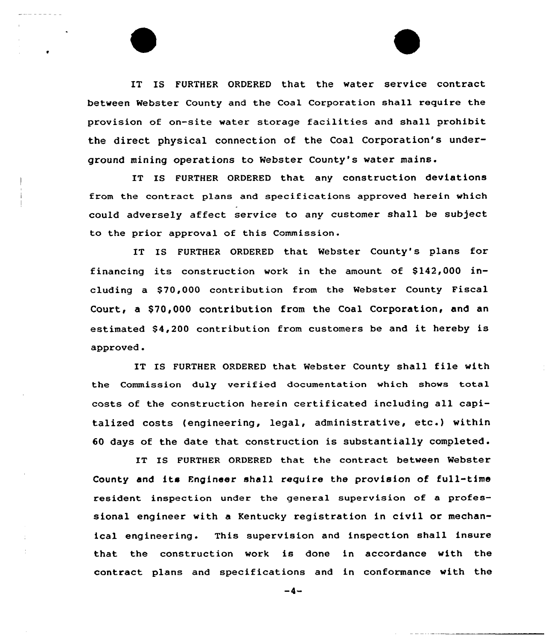IT IS FURTHER ORDERED that the water service contract between Webster County and the Coal Corporation shall require the provision of on-site water storage facilities and shall prohibit the direct physical connection of the Coal Corporation's underground mining operations to Webster County's water mains.

IT IS FURTHER ORDERED that any construction deviations from the contract plans and specifications approved herein which could adversely affect service to any customer shall be subject to the prior approval of this Commission.

IT IS FURTHER ORDERED that Webster County's plans for financing its construction work in the amount of  $$142,000$  including a S70,000 contribution from the Webster County Fiscal Court, a \$70,000 contribution from the Coal Corporation, and an estimated \$4,200 contribution from customers be and it hereby is approved.

IT IS FURTHER ORDERED that Webster County shall file with the Commission duly verified documentation which shows total costs of the construction herein certificated including all capitalized costs {engineering, legal, administrative, etc.) within 60 days of the date that construction is substantially completed.

IT IS FURTHER ORDERED that the contract between Webster County and its Fngineer shall require the provision of full-time resident inspection under the general supervision of a professional engineer with a Kentucky registration in civil or mechanical engineering. This supervision and inspection shall insure that the construction work is done in accordance with the contract plans and specifications and in conformance with the

 $-4-$